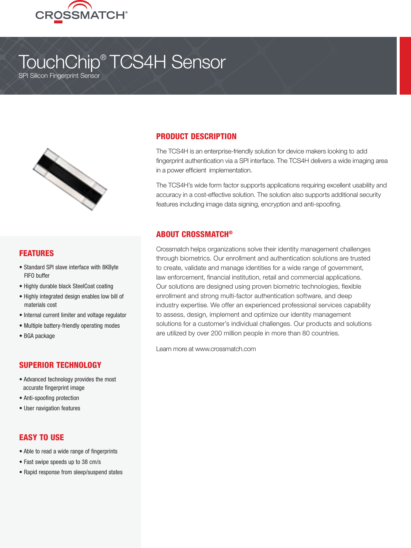

# TouchChip® TCS4H Sensor

SPI Silicon Fingerprint Sensor



## FEATURES

- Standard SPI slave interface with 8KByte FIFO buffer
- Highly durable black SteelCoat coating
- Highly integrated design enables low bill of materials cost
- Internal current limiter and voltage regulator
- Multiple battery-friendly operating modes
- BGA package

#### SUPERIOR TECHNOLOGY

- Advanced technology provides the most accurate fingerprint image
- Anti-spoofing protection
- User navigation features

## EASY TO USE

- Able to read a wide range of fingerprints
- Fast swipe speeds up to 38 cm/s
- Rapid response from sleep/suspend states

#### PRODUCT DESCRIPTION

The TCS4H is an enterprise-friendly solution for device makers looking to add fingerprint authentication via a SPI interface. The TCS4H delivers a wide imaging area in a power efficient implementation.

The TCS4H's wide form factor supports applications requiring excellent usability and accuracy in a cost-effective solution. The solution also supports additional security features including image data signing, encryption and anti-spoofing.

#### ABOUT CROSSMATCH®

Crossmatch helps organizations solve their identity management challenges through biometrics. Our enrollment and authentication solutions are trusted to create, validate and manage identities for a wide range of government, law enforcement, financial institution, retail and commercial applications. Our solutions are designed using proven biometric technologies, flexible enrollment and strong multi-factor authentication software, and deep industry expertise. We offer an experienced professional services capability to assess, design, implement and optimize our identity management solutions for a customer's individual challenges. Our products and solutions are utilized by over 200 million people in more than 80 countries.

Learn more at www.crossmatch.com